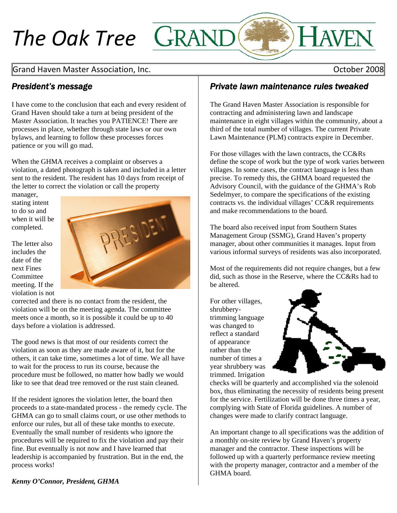# *The Oak Tree*

## Grand Haven Master Association, Inc. **Solution Accord 2008** and the United States of the United States of the U

## *President's message*

I have come to the conclusion that each and every resident of Grand Haven should take a turn at being president of the Master Association. It teaches you PATIENCE! There are processes in place, whether through state laws or our own bylaws, and learning to follow these processes forces patience or you will go mad.

When the GHMA receives a complaint or observes a violation, a dated photograph is taken and included in a letter sent to the resident. The resident has 10 days from receipt of the letter to correct the violation or call the property

manager, stating intent to do so and when it will be completed.

The letter also includes the date of the next Fines **Committee** meeting. If the violation is not



corrected and there is no contact from the resident, the violation will be on the meeting agenda. The committee meets once a month, so it is possible it could be up to 40 days before a violation is addressed.

others, it can take time, sometimes a lot of time. We all have like to see that dead tree removed or the rust stain cleaned. The good news is that most of our residents correct the violation as soon as they are made aware of it, but for the to wait for the process to run its course, because the procedure must be followed, no matter how badly we would

GHMA can go to small claims court, or use other methods to procedures will be required to fix the violation and pay their leadership is accompanied by frustration. But in the end, the process works! If the resident ignores the violation letter, the board then proceeds to a state-mandated process - the remedy cycle. The enforce our rules, but all of these take months to execute. Eventually the small number of residents who ignore the fine. But eventually is not now and I have learned that

## *Private lawn maintenance rules tweaked*

The Grand Haven Master Association is responsible for contracting and administering lawn and landscape maintenance in eight villages within the community, about a third of the total number of villages. The current Private Lawn Maintenance (PLM) contracts expire in December.

For those villages with the lawn contracts, the CC&Rs define the scope of work but the type of work varies between villages. In some cases, the contract language is less than precise. To remedy this, the GHMA board requested the Advisory Council, with the guidance of the GHMA's Rob Sedelmyer, to compare the specifications of the existing contracts vs. the individual villages' CC&R requirements and make recommendations to the board.

The board also received input from Southern States Management Group (SSMG), Grand Haven's property manager, about other communities it manages. Input from various informal surveys of residents was also incorporated.

Most of the requirements did not require changes, but a few did, such as those in the Reserve, where the CC&Rs had to be altered.

number of times a For other villages, shrubberytrimming language was changed to reflect a standard of appearance rather than the year shrubbery was trimmed. Irrigation



checks will be quarterly and accomplished via the solenoid box, thus eliminating the necessity of residents being present for the service. Fertilization will be done three times a year, complying with State of Florida guidelines. A number of changes were made to clarify contract language.

An important change to all specifications was the addition of a monthly on-site review by Grand Haven's property manager and the contractor. These inspections will be followed up with a quarterly performance review meeting with the property manager, contractor and a member of the GHMA board.

*Kenny O'Connor, President, GHMA*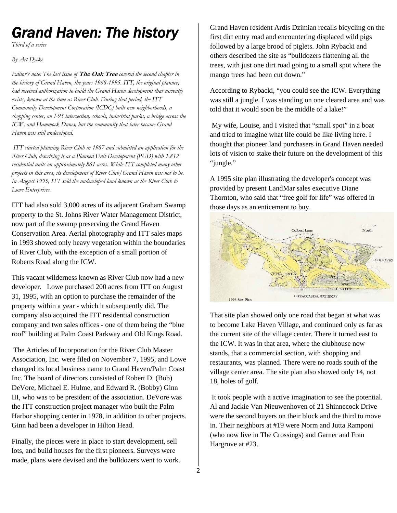## *Grand Haven: The history*

*Third of a series* 

*By Art Dycke* 

*Editor's note: The last issue of* **The Oak Tree** *covered the second chapter in the history of Grand Haven, the years 1968-1995. ITT, the original planner, had received authorization to build the Grand Haven development that currently exists, known at the time as River Club. During that period, the ITT Community Development Corporation (ICDC) built new neighborhoods, a shopping center, an I-95 intersection, schools, industrial parks, a bridge across the ICW, and Hammock Dunes, but the community that later became Grand Haven was still undeveloped.* 

 *ITT started planning River Club in 1987 and submitted an application for the River Club, describing it as a Planned Unit Development (PUD) with 1,812 residential units on approximately 861 acres. While ITT completed many other projects in this area, its development of River Club/Grand Haven was not to be. In August 1995, ITT sold the undeveloped land known as the River Club to Lowe Enterprises.* 

ITT had also sold 3,000 acres of its adjacent Graham Swamp property to the St. Johns River Water Management District, now part of the swamp preserving the Grand Haven Conservation Area. Aerial photography and ITT sales maps in 1993 showed only heavy vegetation within the boundaries of River Club, with the exception of a small portion of Roberts Road along the ICW.

This vacant wilderness known as River Club now had a new developer. Lowe purchased 200 acres from ITT on August 31, 1995, with an option to purchase the remainder of the property within a year - which it subsequently did. The company also acquired the ITT residential construction company and two sales offices - one of them being the "blue roof" building at Palm Coast Parkway and Old Kings Road.

 The Articles of Incorporation for the River Club Master Association, Inc. were filed on November 7, 1995, and Lowe changed its local business name to Grand Haven/Palm Coast Inc. The board of directors consisted of Robert D. (Bob) DeVore, Michael E. Hulme, and Edward R. (Bobby) Ginn III, who was to be president of the association. DeVore was the ITT construction project manager who built the Palm Harbor shopping center in 1978, in addition to other projects. Ginn had been a developer in Hilton Head.

Finally, the pieces were in place to start development, sell lots, and build houses for the first pioneers. Surveys were made, plans were devised and the bulldozers went to work. Grand Haven resident Ardis Dzimian recalls bicycling on the first dirt entry road and encountering displaced wild pigs followed by a large brood of piglets. John Rybacki and others described the site as "bulldozers flattening all the trees, with just one dirt road going to a small spot where the mango trees had been cut down."

According to Rybacki, "you could see the ICW. Everything was still a jungle. I was standing on one cleared area and was told that it would soon be the middle of a lake!"

 My wife, Louise, and I visited that "small spot" in a boat and tried to imagine what life could be like living here. I thought that pioneer land purchasers in Grand Haven needed lots of vision to stake their future on the development of this "jungle."

A 1995 site plan illustrating the developer's concept was provided by present LandMar sales executive Diane Thornton, who said that "free golf for life" was offered in those days as an enticement to buy.



That site plan showed only one road that began at what was to become Lake Haven Village, and continued only as far as the current site of the village center. There it turned east to the ICW. It was in that area, where the clubhouse now stands, that a commercial section, with shopping and restaurants, was planned. There were no roads south of the village center area. The site plan also showed only 14, not 18, holes of golf.

 It took people with a active imagination to see the potential. Al and Jackie Van Nieuwenhoven of 21 Shinnecock Drive were the second buyers on their block and the third to move in. Their neighbors at #19 were Norm and Jutta Ramponi (who now live in The Crossings) and Garner and Fran Hargrove at #23.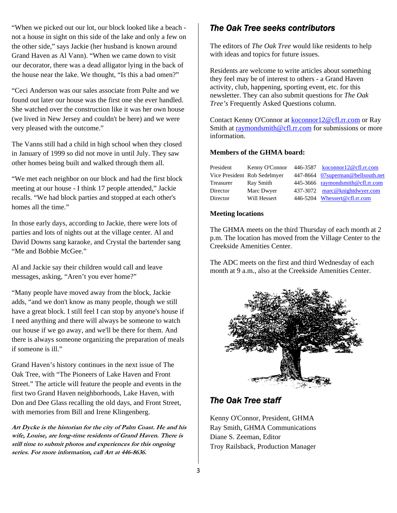"When we picked out our lot, our block looked like a beach not a house in sight on this side of the lake and only a few on the other side," says Jackie (her husband is known around Grand Haven as Al Vann). "When we came down to visit our decorator, there was a dead alligator lying in the back of the house near the lake. We thought, "Is this a bad omen?"

"Ceci Anderson was our sales associate from Pulte and we found out later our house was the first one she ever handled. She watched over the construction like it was her own house (we lived in New Jersey and couldn't be here) and we were very pleased with the outcome."

The Vanns still had a child in high school when they closed in January of 1999 so did not move in until July. They saw other homes being built and walked through them all.

"We met each neighbor on our block and had the first block meeting at our house - I think 17 people attended," Jackie recalls. "We had block parties and stopped at each other's homes all the time."

In those early days, according to Jackie, there were lots of parties and lots of nights out at the village center. Al and David Downs sang karaoke, and Crystal the bartender sang "Me and Bobbie McGee."

Al and Jackie say their children would call and leave messages, asking, "Aren't you ever home?"

"Many people have moved away from the block, Jackie adds, "and we don't know as many people, though we still have a great block. I still feel I can stop by anyone's house if I need anything and there will always be someone to watch our house if we go away, and we'll be there for them. And there is always someone organizing the preparation of meals if someone is ill."

Grand Haven's history continues in the next issue of The Oak Tree, with "The Pioneers of Lake Haven and Front Street." The article will feature the people and events in the first two Grand Haven neighborhoods, Lake Haven, with Don and Dee Glass recalling the old days, and Front Street, with memories from Bill and Irene Klingenberg.

**Art Dycke is the historian for the city of Palm Coast. He and his wife, Louise, are long-time residents of Grand Haven. There is still time to submit photos and experiences for this ongoing series. For more information, call Art at 446-8636.** 

## *The Oak Tree seeks contributors*

The editors of *The Oak Tree* would like residents to help with ideas and topics for future issues.

Residents are welcome to write articles about something they feel may be of interest to others - a Grand Haven activity, club, happening, sporting event, etc. for this newsletter. They can also submit questions for *The Oak Tree's* Frequently Asked Questions column.

Contact Kenny O'Connor at [koconnor12@cfl.rr.com](mailto:koconnor12@cfl.rr.com) or Ray Smith at [raymondsmith@cfl.rr.com](mailto:raymondsmith@cfl.rr.com) for submissions or more information.

### **Members of the GHMA board:**

| President | Kenny O'Connor               | 446-3587 koconnor12@cfl.rr.com     |
|-----------|------------------------------|------------------------------------|
|           | Vice President Rob Sedelmyer | 447-8664 07 superman@bellsouth.net |
| Treasurer | Ray Smith                    | 445-3666 raymondsmith@cfl.rr.com   |
| Director  | Marc Dwyer                   | 437-3072 marc@knightdwyer.com      |
| Director  | Will Hessert                 | 446-5204 Whessert@cfl.rr.com       |

#### **Meeting locations**

The GHMA meets on the third Thursday of each month at 2 p.m. The location has moved from the Village Center to the Creekside Amenities Center.

The ADC meets on the first and third Wednesday of each month at 9 a.m., also at the Creekside Amenities Center.



## *The Oak Tree staff*

Kenny O'Connor, President, GHMA Ray Smith, GHMA Communications Diane S. Zeeman, Editor Troy Railsback, Production Manager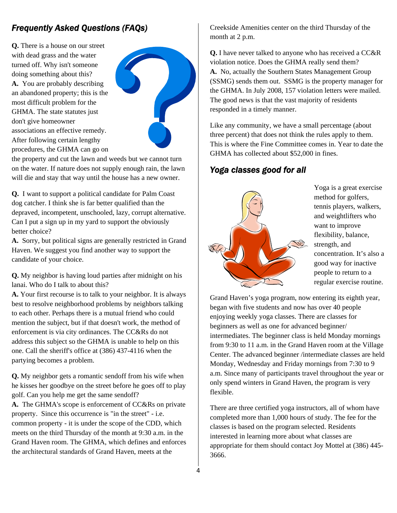## *Frequently Asked Questions (FAQs)*

**Q.** There is a house on our street with dead grass and the water turned off. Why isn't someone doing something about this? **A.** You are probably describing an abandoned property; this is the most difficult problem for the GHMA. The state statutes just don't give homeowner associations an effective remedy. After following certain lengthy procedures, the GHMA can go on



the property and cut the lawn and weeds but we cannot turn on the water. If nature does not supply enough rain, the lawn will die and stay that way until the house has a new owner.

**Q.** I want to support a political candidate for Palm Coast dog catcher. I think she is far better qualified than the depraved, incompetent, unschooled, lazy, corrupt alternative. Can I put a sign up in my yard to support the obviously better choice?

**A.** Sorry, but political signs are generally restricted in Grand Haven. We suggest you find another way to support the candidate of your choice.

**Q.** My neighbor is having loud parties after midnight on his lanai. Who do I talk to about this?

**A.** Your first recourse is to talk to your neighbor. It is always best to resolve neighborhood problems by neighbors talking to each other. Perhaps there is a mutual friend who could mention the subject, but if that doesn't work, the method of enforcement is via city ordinances. The CC&Rs do not address this subject so the GHMA is unable to help on this one. Call the sheriff's office at (386) 437-4116 when the partying becomes a problem.

**Q.** My neighbor gets a romantic sendoff from his wife when he kisses her goodbye on the street before he goes off to play golf. Can you help me get the same sendoff? **A.** The GHMA's scope is enforcement of CC&Rs on private property. Since this occurrence is "in the street" - i.e. common property - it is under the scope of the CDD, which meets on the third Thursday of the month at 9:30 a.m. in the Grand Haven room. The GHMA, which defines and enforces

the architectural standards of Grand Haven, meets at the

Creekside Amenities center on the third Thursday of the month at 2 p.m.

**Q.** I have never talked to anyone who has received a CC&R violation notice. Does the GHMA really send them? **A.** No, actually the Southern States Management Group (SSMG) sends them out. SSMG is the property manager for the GHMA. In July 2008, 157 violation letters were mailed. The good news is that the vast majority of residents responded in a timely manner.

Like any community, we have a small percentage (about three percent) that does not think the rules apply to them. This is where the Fine Committee comes in. Year to date the GHMA has collected about \$52,000 in fines.

## *Yoga classes good for all*



Yoga is a great exercise method for golfers, tennis players, walkers, and weightlifters who want to improve flexibility, balance, strength, and concentration. It's also a good way for inactive people to return to a regular exercise routine.

Grand Haven's yoga program, now entering its eighth year, began with five students and now has over 40 people enjoying weekly yoga classes. There are classes for beginners as well as one for advanced beginner/ intermediates. The beginner class is held Monday mornings from 9:30 to 11 a.m. in the Grand Haven room at the Village Center. The advanced beginner /intermediate classes are held Monday, Wednesday and Friday mornings from 7:30 to 9 a.m. Since many of participants travel throughout the year or only spend winters in Grand Haven, the program is very flexible.

There are three certified yoga instructors, all of whom have completed more than 1,000 hours of study. The fee for the classes is based on the program selected. Residents interested in learning more about what classes are appropriate for them should contact Joy Mottel at (386) 445- 3666.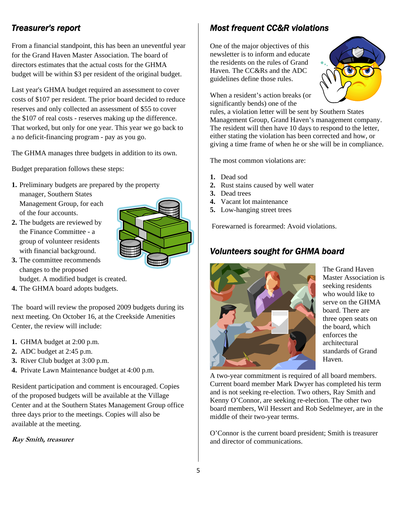From a financial standpoint, this has been an uneventful year for the Grand Haven Master Association. The board of directors estimates that the actual costs for the GHMA budget will be within \$3 per resident of the original budget.

Last year's GHMA budget required an assessment to cover costs of \$107 per resident. The prior board decided to reduce reserves and only collected an assessment of \$55 to cover the \$107 of real costs - reserves making up the difference. That worked, but only for one year. This year we go back to a no deficit-financing program - pay as you go.

The GHMA manages three budgets in addition to its own.

Budget preparation follows these steps:

- **1.** Preliminary budgets are prepared by the property manager, Southern States Management Group, for each of the four accounts.
- **2.** The budgets are reviewed by the Finance Committee - a group of volunteer residents with financial background.



**3.** The committee recommends changes to the proposed

budget. A modified budget is created.

**4.** The GHMA board adopts budgets.

The board will review the proposed 2009 budgets during its next meeting. On October 16, at the Creekside Amenities Center, the review will include:

- **1.** GHMA budget at 2:00 p.m.
- **2.** ADC budget at 2:45 p.m.
- **3.** River Club budget at 3:00 p.m.
- **4.** Private Lawn Maintenance budget at 4:00 p.m.

Resident participation and comment is encouraged. Copies of the proposed budgets will be available at the Village Center and at the Southern States Management Group office three days prior to the meetings. Copies will also be available at the meeting.

**Ray Smith, treasurer**

## *Treasurer's report Most frequent CC&R violations*

One of the major objectives of this newsletter is to inform and educate the residents on the rules of Grand Haven. The CC&Rs and the ADC guidelines define those rules.



When a resident's action breaks (or significantly bends) one of the

rules, a violation letter will be sent by Southern States Management Group, Grand Haven's management company. The resident will then have 10 days to respond to the letter, either stating the violation has been corrected and how, or giving a time frame of when he or she will be in compliance.

The most common violations are:

- **1.** Dead sod
- **2.** Rust stains caused by well water
- **3.** Dead trees
- **4.** Vacant lot maintenance
- **5.** Low-hanging street trees

Forewarned is forearmed: Avoid violations.

### *Volunteers sought for GHMA board*



standards of Grand Haven. The Grand Haven Master Association is seeking residents who would like to serve on the GHMA board. There are three open seats on the board, which enforces the architectural

Current board member Mark Dwyer has completed his term and is not seeking re-election. Two others, Ray Smith and board members, Wil Hessert and Rob Sedelmeyer, are in the A two-year commitment is required of all board members. Kenny O'Connor, are seeking re-election. The other two middle of their two-year terms.

O'Connor is the current board president; Smith is treasurer and director of communications.